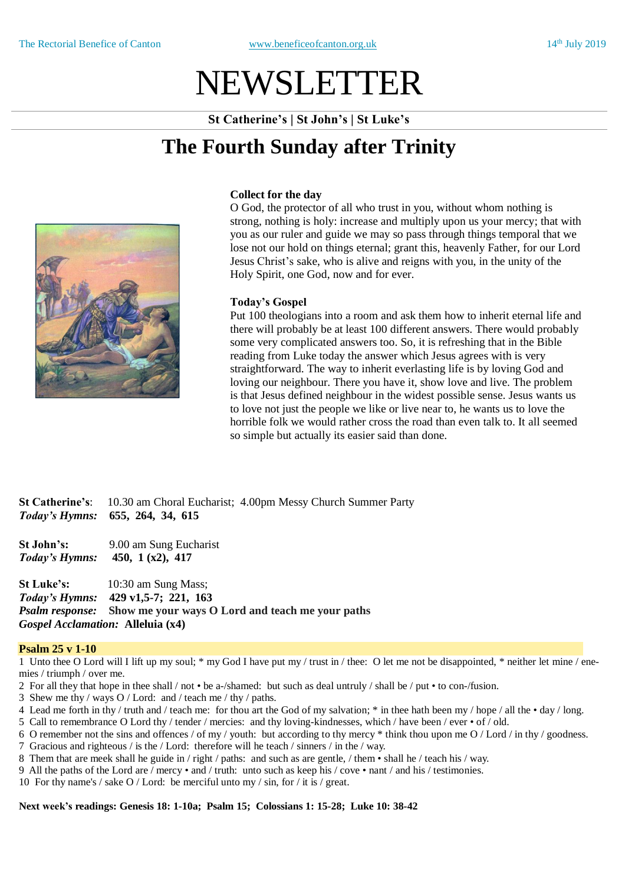# NEWSLETTER

**St Catherine's | St John's | St Luke's**

## **The Fourth Sunday after Trinity**



### **Collect for the day**

O God, the protector of all who trust in you, without whom nothing is strong, nothing is holy: increase and multiply upon us your mercy; that with you as our ruler and guide we may so pass through things temporal that we lose not our hold on things eternal; grant this, heavenly Father, for our Lord Jesus Christ's sake, who is alive and reigns with you, in the unity of the Holy Spirit, one God, now and for ever.

### **Today's Gospel**

Put 100 theologians into a room and ask them how to inherit eternal life and there will probably be at least 100 different answers. There would probably some very complicated answers too. So, it is refreshing that in the Bible reading from Luke today the answer which Jesus agrees with is very straightforward. The way to inherit everlasting life is by loving God and loving our neighbour. There you have it, show love and live. The problem is that Jesus defined neighbour in the widest possible sense. Jesus wants us to love not just the people we like or live near to, he wants us to love the horrible folk we would rather cross the road than even talk to. It all seemed so simple but actually its easier said than done.

**St Catherine's**: 10.30 am Choral Eucharist; 4.00pm Messy Church Summer Party *Today's Hymns:* **655, 264, 34, 615**

**St John's:** 9.00 am Sung Eucharist *Today's Hymns:* **450, 1 (x2), 417** 

**St Luke's:** 10:30 am Sung Mass; *Today's Hymns:* **429 v1,5-7; 221, 163** *Psalm response:* **Show me your ways O Lord and teach me your paths** *Gospel Acclamation:* **Alleluia (x4)**

### **Psalm 25 v 1-10**

1 Unto thee O Lord will I lift up my soul; \* my God I have put my / trust in / thee: O let me not be disappointed, \* neither let mine / enemies / triumph / over me.

- 2 For all they that hope in thee shall / not be a-/shamed: but such as deal untruly / shall be / put to con-/fusion.
- 3 Shew me thy / ways O / Lord: and / teach me / thy / paths.
- 4 Lead me forth in thy / truth and / teach me: for thou art the God of my salvation; \* in thee hath been my / hope / all the day / long.
- 5 Call to remembrance O Lord thy / tender / mercies: and thy loving-kindnesses, which / have been / ever of / old.
- 6 O remember not the sins and offences / of my / youth: but according to thy mercy  $*$  think thou upon me O / Lord / in thy / goodness.
- 7 Gracious and righteous / is the / Lord: therefore will he teach / sinners / in the / way.
- 8 Them that are meek shall he guide in / right / paths: and such as are gentle, / them shall he / teach his / way.
- 9 All the paths of the Lord are / mercy and / truth: unto such as keep his / cove nant / and his / testimonies.
- 10 For thy name's / sake O / Lord: be merciful unto my / sin, for / it is / great.

### **Next week's readings: Genesis 18: 1-10a; Psalm 15; Colossians 1: 15-28; Luke 10: 38-42**